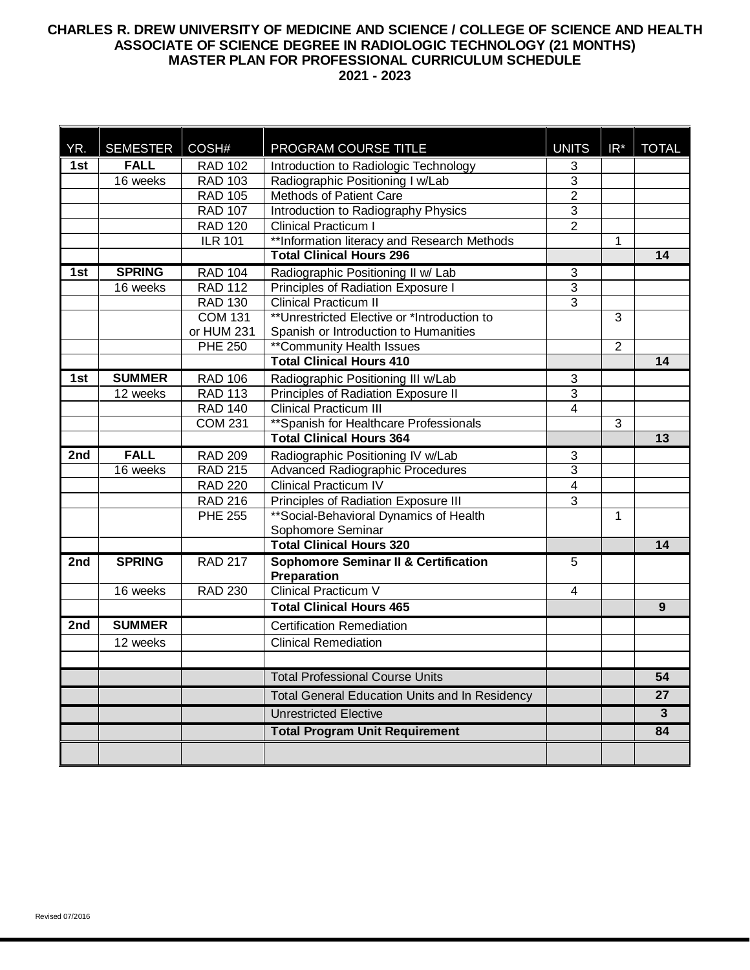# **CHARLES R. DREW UNIVERSITY OF MEDICINE AND SCIENCE / COLLEGE OF SCIENCE AND HEALTH ASSOCIATE OF SCIENCE DEGREE IN RADIOLOGIC TECHNOLOGY (21 MONTHS) MASTER PLAN FOR PROFESSIONAL CURRICULUM SCHEDULE 2021 - 2023**

| YR. | <b>SEMESTER</b> | COSH#          | PROGRAM COURSE TITLE                                           | <b>UNITS</b>              | $IR^*$         | <b>TOTAL</b>    |
|-----|-----------------|----------------|----------------------------------------------------------------|---------------------------|----------------|-----------------|
| 1st | <b>FALL</b>     | <b>RAD 102</b> | Introduction to Radiologic Technology                          | 3                         |                |                 |
|     | 16 weeks        | <b>RAD 103</b> | Radiographic Positioning I w/Lab                               | 3                         |                |                 |
|     |                 | <b>RAD 105</b> | Methods of Patient Care                                        | $\overline{2}$            |                |                 |
|     |                 | <b>RAD 107</b> | Introduction to Radiography Physics                            | $\overline{3}$            |                |                 |
|     |                 | <b>RAD 120</b> | Clinical Practicum I                                           | $\overline{2}$            |                |                 |
|     |                 | <b>ILR 101</b> | ** Information literacy and Research Methods                   |                           | 1              |                 |
|     |                 |                | <b>Total Clinical Hours 296</b>                                |                           |                | 14              |
| 1st | <b>SPRING</b>   | <b>RAD 104</b> | Radiographic Positioning II w/ Lab                             | 3                         |                |                 |
|     | 16 weeks        | <b>RAD 112</b> | Principles of Radiation Exposure I                             | $\overline{3}$            |                |                 |
|     |                 | <b>RAD 130</b> | <b>Clinical Practicum II</b>                                   | $\overline{3}$            |                |                 |
|     |                 | <b>COM 131</b> | **Unrestricted Elective or *Introduction to                    |                           | 3              |                 |
|     |                 | or HUM 231     | Spanish or Introduction to Humanities                          |                           |                |                 |
|     |                 | <b>PHE 250</b> | <b>**Community Health Issues</b>                               |                           | $\overline{2}$ |                 |
|     |                 |                | <b>Total Clinical Hours 410</b>                                |                           |                | 14              |
| 1st | <b>SUMMER</b>   | <b>RAD 106</b> | Radiographic Positioning III w/Lab                             | 3                         |                |                 |
|     | 12 weeks        | <b>RAD 113</b> | Principles of Radiation Exposure II                            | $\ensuremath{\mathsf{3}}$ |                |                 |
|     |                 | <b>RAD 140</b> | <b>Clinical Practicum III</b>                                  | 4                         |                |                 |
|     |                 | <b>COM 231</b> | ** Spanish for Healthcare Professionals                        |                           | 3              |                 |
|     |                 |                | <b>Total Clinical Hours 364</b>                                |                           |                | 13              |
| 2nd | <b>FALL</b>     | <b>RAD 209</b> | Radiographic Positioning IV w/Lab                              | 3                         |                |                 |
|     | 16 weeks        | <b>RAD 215</b> | <b>Advanced Radiographic Procedures</b>                        | 3                         |                |                 |
|     |                 | <b>RAD 220</b> | <b>Clinical Practicum IV</b>                                   | $\overline{4}$            |                |                 |
|     |                 | <b>RAD 216</b> | Principles of Radiation Exposure III                           | 3                         |                |                 |
|     |                 | <b>PHE 255</b> | ** Social-Behavioral Dynamics of Health                        |                           | $\mathbf{1}$   |                 |
|     |                 |                | Sophomore Seminar                                              |                           |                |                 |
|     |                 |                | <b>Total Clinical Hours 320</b>                                |                           |                | 14              |
| 2nd | <b>SPRING</b>   | <b>RAD 217</b> | <b>Sophomore Seminar II &amp; Certification</b><br>Preparation | 5                         |                |                 |
|     | 16 weeks        | <b>RAD 230</b> | <b>Clinical Practicum V</b>                                    | 4                         |                |                 |
|     |                 |                | <b>Total Clinical Hours 465</b>                                |                           |                | 9               |
| 2nd | <b>SUMMER</b>   |                | <b>Certification Remediation</b>                               |                           |                |                 |
|     | 12 weeks        |                | <b>Clinical Remediation</b>                                    |                           |                |                 |
|     |                 |                |                                                                |                           |                |                 |
|     |                 |                | <b>Total Professional Course Units</b>                         |                           |                | $\overline{54}$ |
|     |                 |                | Total General Education Units and In Residency                 |                           |                | 27              |
|     |                 |                | <b>Unrestricted Elective</b>                                   |                           |                | 3               |
|     |                 |                | <b>Total Program Unit Requirement</b>                          |                           |                | 84              |
|     |                 |                |                                                                |                           |                |                 |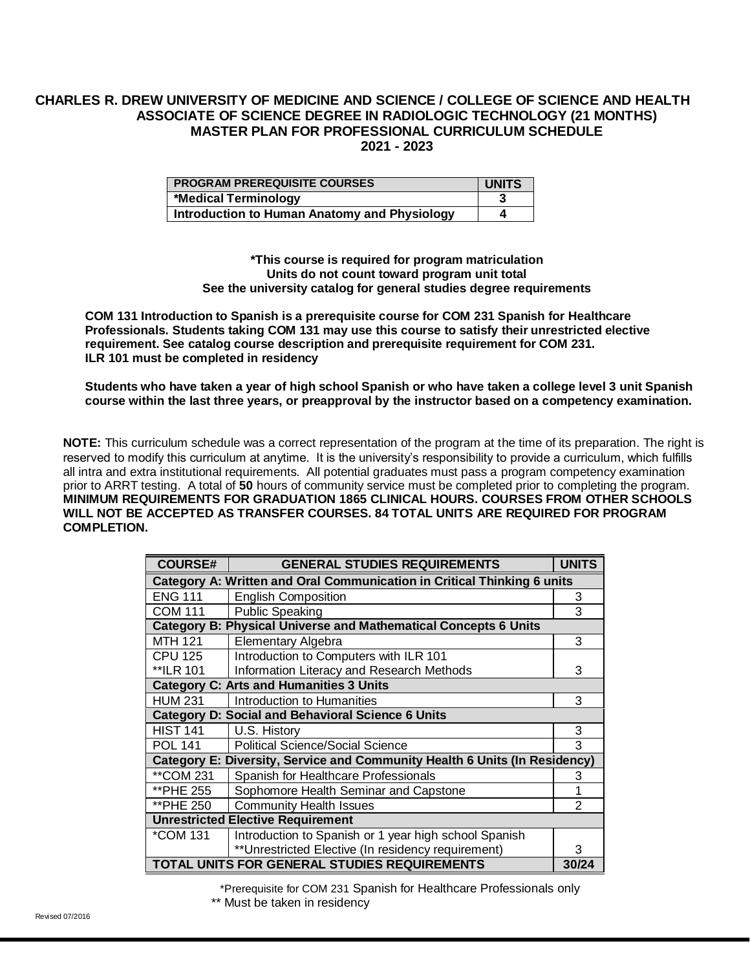## **CHARLES R. DREW UNIVERSITY OF MEDICINE AND SCIENCE / COLLEGE OF SCIENCE AND HEALTH ASSOCIATE OF SCIENCE DEGREE IN RADIOLOGIC TECHNOLOGY (21 MONTHS) MASTER PLAN FOR PROFESSIONAL CURRICULUM SCHEDULE 2021 - 2023**

| <b>PROGRAM PREREQUISITE COURSES</b>          | <b>UNITS</b> |
|----------------------------------------------|--------------|
| *Medical Terminology                         |              |
| Introduction to Human Anatomy and Physiology |              |

**\*This course is required for program matriculation Units do not count toward program unit total See the university catalog for general studies degree requirements**

**COM 131 Introduction to Spanish is a prerequisite course for COM 231 Spanish for Healthcare Professionals. Students taking COM 131 may use this course to satisfy their unrestricted elective requirement. See catalog course description and prerequisite requirement for COM 231. ILR 101 must be completed in residency**

**Students who have taken a year of high school Spanish or who have taken a college level 3 unit Spanish course within the last three years, or preapproval by the instructor based on a competency examination.**

**NOTE:** This curriculum schedule was a correct representation of the program at the time of its preparation. The right is reserved to modify this curriculum at anytime. It is the university's responsibility to provide a curriculum, which fulfills all intra and extra institutional requirements. All potential graduates must pass a program competency examination prior to ARRT testing. A total of **50** hours of community service must be completed prior to completing the program. **MINIMUM REQUIREMENTS FOR GRADUATION 1865 CLINICAL HOURS. COURSES FROM OTHER SCHOOLS WILL NOT BE ACCEPTED AS TRANSFER COURSES. 84 TOTAL UNITS ARE REQUIRED FOR PROGRAM COMPLETION.**

| <b>COURSE#</b>                                                             | <b>GENERAL STUDIES REQUIREMENTS</b>                   | <b>UNITS</b> |  |  |  |  |
|----------------------------------------------------------------------------|-------------------------------------------------------|--------------|--|--|--|--|
| Category A: Written and Oral Communication in Critical Thinking 6 units    |                                                       |              |  |  |  |  |
| <b>ENG 111</b>                                                             | <b>English Composition</b>                            | 3            |  |  |  |  |
| <b>COM 111</b>                                                             | <b>Public Speaking</b>                                | 3            |  |  |  |  |
| <b>Category B: Physical Universe and Mathematical Concepts 6 Units</b>     |                                                       |              |  |  |  |  |
| <b>MTH 121</b>                                                             | Elementary Algebra                                    | 3            |  |  |  |  |
| <b>CPU 125</b>                                                             | Introduction to Computers with ILR 101                |              |  |  |  |  |
| **ILR 101                                                                  | Information Literacy and Research Methods             | 3            |  |  |  |  |
| <b>Category C: Arts and Humanities 3 Units</b>                             |                                                       |              |  |  |  |  |
| <b>HUM 231</b>                                                             | Introduction to Humanities                            | 3            |  |  |  |  |
| <b>Category D: Social and Behavioral Science 6 Units</b>                   |                                                       |              |  |  |  |  |
| <b>HIST 141</b>                                                            | U.S. History                                          | 3            |  |  |  |  |
| <b>POL 141</b>                                                             | <b>Political Science/Social Science</b>               | 3            |  |  |  |  |
| Category E: Diversity, Service and Community Health 6 Units (In Residency) |                                                       |              |  |  |  |  |
| **COM 231                                                                  | Spanish for Healthcare Professionals                  | 3            |  |  |  |  |
| **PHE 255                                                                  | Sophomore Health Seminar and Capstone                 | 1            |  |  |  |  |
| **PHE 250                                                                  | <b>Community Health Issues</b>                        | 2            |  |  |  |  |
| <b>Unrestricted Elective Requirement</b>                                   |                                                       |              |  |  |  |  |
| *COM 131                                                                   | Introduction to Spanish or 1 year high school Spanish |              |  |  |  |  |
|                                                                            | ** Unrestricted Elective (In residency requirement)   | 3            |  |  |  |  |
| TOTAL UNITS FOR GENERAL STUDIES REQUIREMENTS                               |                                                       |              |  |  |  |  |

\*Prerequisite for COM 231 Spanish for Healthcare Professionals only

\*\* Must be taken in residency